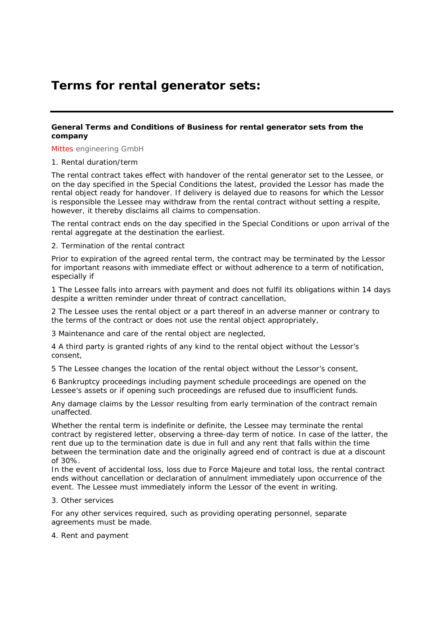# **Terms for rental generator sets:**

## **General Terms and Conditions of Business for rental generator sets from the company**

Mittes engineering GmbH

### 1. Rental duration/term

The rental contract takes effect with handover of the rental generator set to the Lessee, or on the day specified in the Special Conditions the latest, provided the Lessor has made the rental object ready for handover. If delivery is delayed due to reasons for which the Lessor is responsible the Lessee may withdraw from the rental contract without setting a respite, however, it thereby disclaims all claims to compensation.

The rental contract ends on the day specified in the Special Conditions or upon arrival of the rental aggregate at the destination the earliest.

### 2. Termination of the rental contract

Prior to expiration of the agreed rental term, the contract may be terminated by the Lessor for important reasons with immediate effect or without adherence to a term of notification, especially if

1 The Lessee falls into arrears with payment and does not fulfil its obligations within 14 days despite a written reminder under threat of contract cancellation,

2 The Lessee uses the rental object or a part thereof in an adverse manner or contrary to the terms of the contract or does not use the rental object appropriately,

3 Maintenance and care of the rental object are neglected,

4 A third party is granted rights of any kind to the rental object without the Lessor's consent,

5 The Lessee changes the location of the rental object without the Lessor's consent,

6 Bankruptcy proceedings including payment schedule proceedings are opened on the Lessee's assets or if opening such proceedings are refused due to insufficient funds.

Any damage claims by the Lessor resulting from early termination of the contract remain unaffected.

Whether the rental term is indefinite or definite, the Lessee may terminate the rental contract by registered letter, observing a three-day term of notice. In case of the latter, the rent due up to the termination date is due in full and any rent that falls within the time between the termination date and the originally agreed end of contract is due at a discount of 30%.

In the event of accidental loss, loss due to Force Majeure and total loss, the rental contract ends without cancellation or declaration of annulment immediately upon occurrence of the event. The Lessee must immediately inform the Lessor of the event in writing.

### 3. Other services

For any other services required, such as providing operating personnel, separate agreements must be made.

4. Rent and payment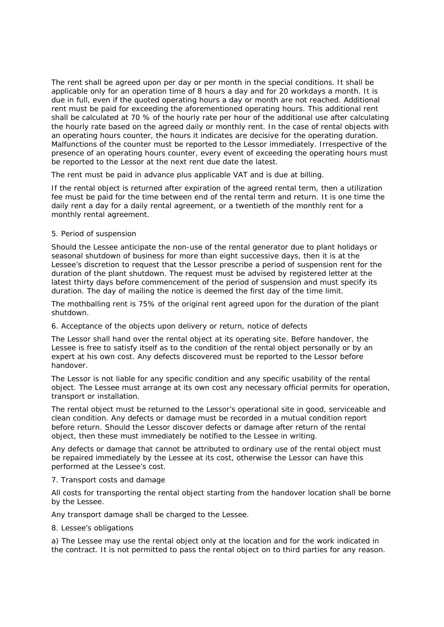The rent shall be agreed upon per day or per month in the special conditions. It shall be applicable only for an operation time of 8 hours a day and for 20 workdays a month. It is due in full, even if the quoted operating hours a day or month are not reached. Additional rent must be paid for exceeding the aforementioned operating hours. This additional rent shall be calculated at 70 % of the hourly rate per hour of the additional use after calculating the hourly rate based on the agreed daily or monthly rent. In the case of rental objects with an operating hours counter, the hours it indicates are decisive for the operating duration. Malfunctions of the counter must be reported to the Lessor immediately. Irrespective of the presence of an operating hours counter, every event of exceeding the operating hours must be reported to the Lessor at the next rent due date the latest.

The rent must be paid in advance plus applicable VAT and is due at billing.

If the rental object is returned after expiration of the agreed rental term, then a utilization fee must be paid for the time between end of the rental term and return. It is one time the daily rent a day for a daily rental agreement, or a twentieth of the monthly rent for a monthly rental agreement.

### 5. Period of suspension

Should the Lessee anticipate the non-use of the rental generator due to plant holidays or seasonal shutdown of business for more than eight successive days, then it is at the Lessee's discretion to request that the Lessor prescribe a period of suspension rent for the duration of the plant shutdown. The request must be advised by registered letter at the latest thirty days before commencement of the period of suspension and must specify its duration. The day of mailing the notice is deemed the first day of the time limit.

The mothballing rent is 75% of the original rent agreed upon for the duration of the plant shutdown.

## 6. Acceptance of the objects upon delivery or return, notice of defects

The Lessor shall hand over the rental object at its operating site. Before handover, the Lessee is free to satisfy itself as to the condition of the rental object personally or by an expert at his own cost. Any defects discovered must be reported to the Lessor before handover.

The Lessor is not liable for any specific condition and any specific usability of the rental object. The Lessee must arrange at its own cost any necessary official permits for operation, transport or installation.

The rental object must be returned to the Lessor's operational site in good, serviceable and clean condition. Any defects or damage must be recorded in a mutual condition report before return. Should the Lessor discover defects or damage after return of the rental object, then these must immediately be notified to the Lessee in writing.

Any defects or damage that cannot be attributed to ordinary use of the rental object must be repaired immediately by the Lessee at its cost, otherwise the Lessor can have this performed at the Lessee's cost.

### 7. Transport costs and damage

All costs for transporting the rental object starting from the handover location shall be borne by the Lessee.

Any transport damage shall be charged to the Lessee.

### 8. Lessee's obligations

a) The Lessee may use the rental object only at the location and for the work indicated in the contract. It is not permitted to pass the rental object on to third parties for any reason.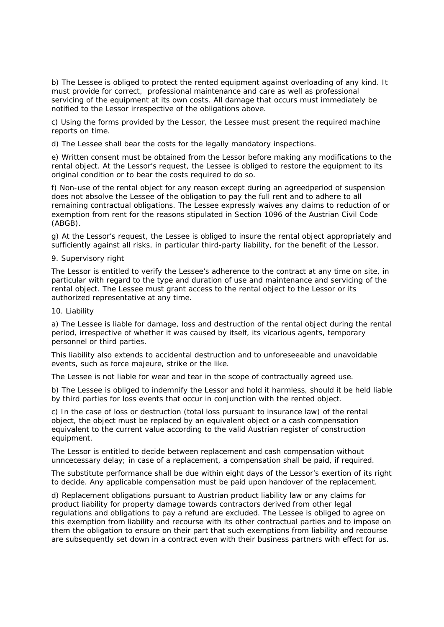b) The Lessee is obliged to protect the rented equipment against overloading of any kind. It must provide for correct, professional maintenance and care as well as professional servicing of the equipment at its own costs. All damage that occurs must immediately be notified to the Lessor irrespective of the obligations above.

c) Using the forms provided by the Lessor, the Lessee must present the required machine reports on time.

d) The Lessee shall bear the costs for the legally mandatory inspections.

e) Written consent must be obtained from the Lessor before making any modifications to the rental object. At the Lessor's request, the Lessee is obliged to restore the equipment to its original condition or to bear the costs required to do so.

f) Non-use of the rental object for any reason except during an agreedperiod of suspension does not absolve the Lessee of the obligation to pay the full rent and to adhere to all remaining contractual obligations. The Lessee expressly waives any claims to reduction of or exemption from rent for the reasons stipulated in Section 1096 of the Austrian Civil Code (ABGB).

g) At the Lessor's request, the Lessee is obliged to insure the rental object appropriately and sufficiently against all risks, in particular third-party liability, for the benefit of the Lessor.

## 9. Supervisory right

The Lessor is entitled to verify the Lessee's adherence to the contract at any time on site, in particular with regard to the type and duration of use and maintenance and servicing of the rental object. The Lessee must grant access to the rental object to the Lessor or its authorized representative at any time.

#### 10. Liability

a) The Lessee is liable for damage, loss and destruction of the rental object during the rental period, irrespective of whether it was caused by itself, its vicarious agents, temporary personnel or third parties.

This liability also extends to accidental destruction and to unforeseeable and unavoidable events, such as force majeure, strike or the like.

The Lessee is not liable for wear and tear in the scope of contractually agreed use.

b) The Lessee is obliged to indemnify the Lessor and hold it harmless, should it be held liable by third parties for loss events that occur in conjunction with the rented object.

c) In the case of loss or destruction (total loss pursuant to insurance law) of the rental object, the object must be replaced by an equivalent object or a cash compensation equivalent to the current value according to the valid Austrian register of construction equipment.

The Lessor is entitled to decide between replacement and cash compensation without unncecessary delay; in case of a replacement, a compensation shall be paid, if required.

The substitute performance shall be due within eight days of the Lessor's exertion of its right to decide. Any applicable compensation must be paid upon handover of the replacement.

d) Replacement obligations pursuant to Austrian product liability law or any claims for product liability for property damage towards contractors derived from other legal regulations and obligations to pay a refund are excluded. The Lessee is obliged to agree on this exemption from liability and recourse with its other contractual parties and to impose on them the obligation to ensure on their part that such exemptions from liability and recourse are subsequently set down in a contract even with their business partners with effect for us.